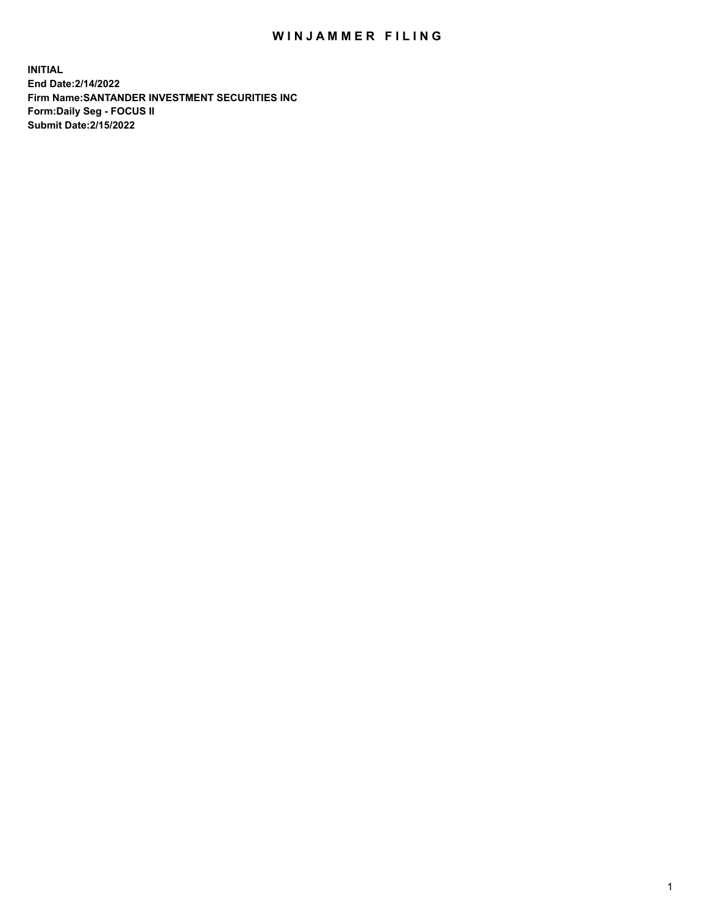## WIN JAMMER FILING

**INITIAL End Date:2/14/2022 Firm Name:SANTANDER INVESTMENT SECURITIES INC Form:Daily Seg - FOCUS II Submit Date:2/15/2022**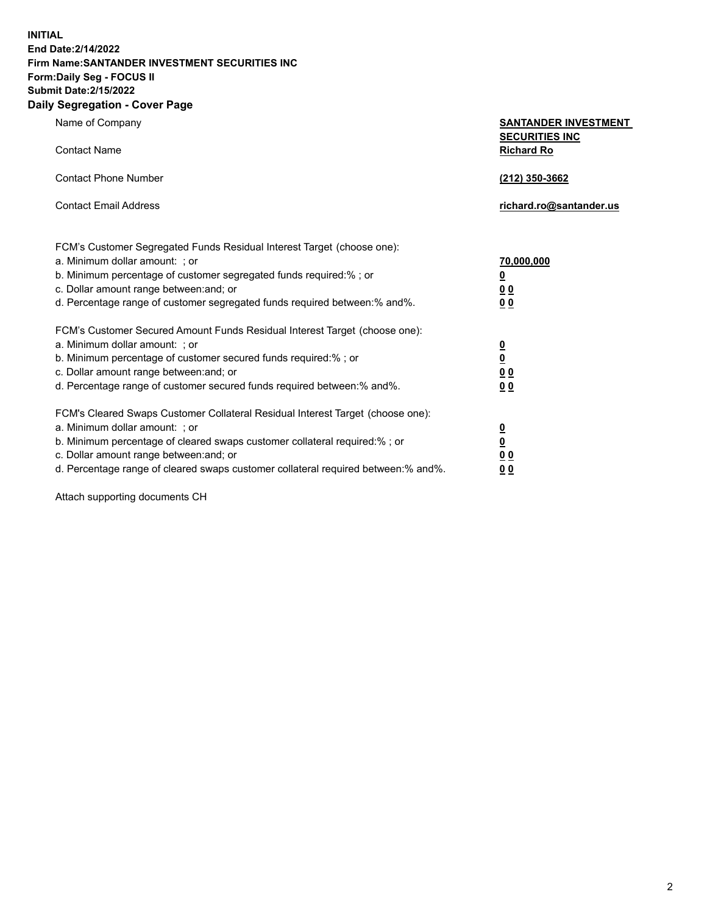**INITIAL End Date:2/14/2022 Firm Name:SANTANDER INVESTMENT SECURITIES INC Form:Daily Seg - FOCUS II Submit Date:2/15/2022 Daily Segregation - Cover Page**

Name of Company **SANTANDER INVESTMENT SECURITIES INC** Contact Name **Richard Ro** Contact Phone Number **(212) 350-3662** Contact Email Address **richard.ro@santander.us** FCM's Customer Segregated Funds Residual Interest Target (choose one): a. Minimum dollar amount: ; or **70,000,000** b. Minimum percentage of customer segregated funds required:% ; or **0** c. Dollar amount range between:and; or **0 0** d. Percentage range of customer segregated funds required between:% and%. **0 0** FCM's Customer Secured Amount Funds Residual Interest Target (choose one): a. Minimum dollar amount: ; or **0** b. Minimum percentage of customer secured funds required:% ; or **0** c. Dollar amount range between:and; or **0 0** d. Percentage range of customer secured funds required between:% and%. **0 0** FCM's Cleared Swaps Customer Collateral Residual Interest Target (choose one): a. Minimum dollar amount: ; or **0** b. Minimum percentage of cleared swaps customer collateral required:% ; or **0**

c. Dollar amount range between:and; or **0 0** d. Percentage range of cleared swaps customer collateral required between:% and%. **0 0**

Attach supporting documents CH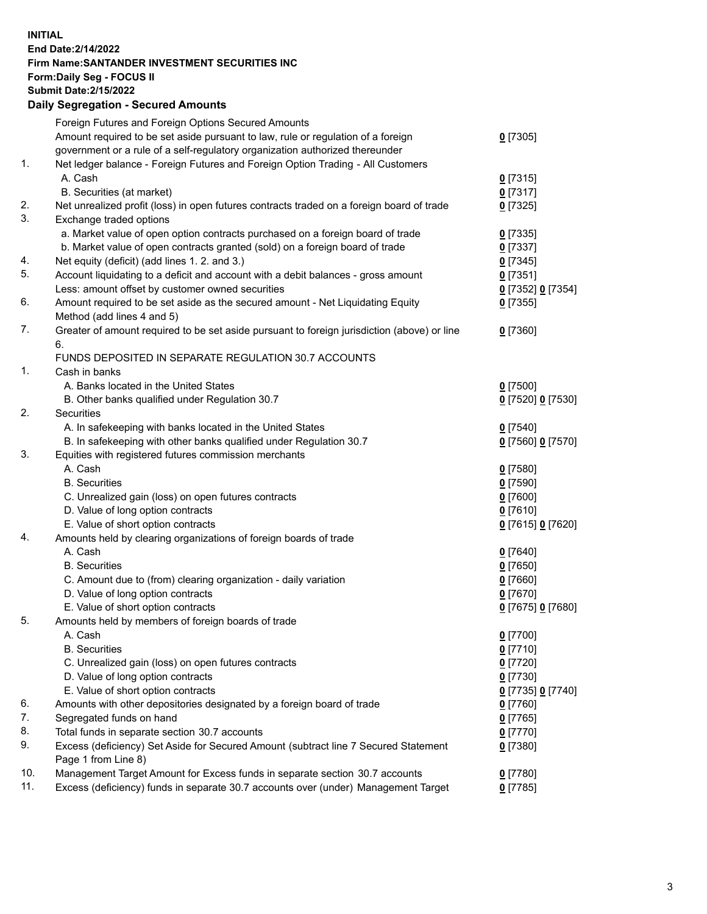## **INITIAL End Date:2/14/2022 Firm Name:SANTANDER INVESTMENT SECURITIES INC Form:Daily Seg - FOCUS II Submit Date:2/15/2022 Daily Segregation - Secured Amounts**

|     | Foreign Futures and Foreign Options Secured Amounts                                         |                   |
|-----|---------------------------------------------------------------------------------------------|-------------------|
|     | Amount required to be set aside pursuant to law, rule or regulation of a foreign            | $0$ [7305]        |
|     | government or a rule of a self-regulatory organization authorized thereunder                |                   |
| 1.  | Net ledger balance - Foreign Futures and Foreign Option Trading - All Customers             |                   |
|     | A. Cash                                                                                     | $0$ [7315]        |
|     | B. Securities (at market)                                                                   | $0$ [7317]        |
| 2.  | Net unrealized profit (loss) in open futures contracts traded on a foreign board of trade   | $0$ [7325]        |
| 3.  | Exchange traded options                                                                     |                   |
|     | a. Market value of open option contracts purchased on a foreign board of trade              | $0$ [7335]        |
|     | b. Market value of open contracts granted (sold) on a foreign board of trade                | $0$ [7337]        |
| 4.  | Net equity (deficit) (add lines 1. 2. and 3.)                                               | $0$ [7345]        |
| 5.  | Account liquidating to a deficit and account with a debit balances - gross amount           | $0$ [7351]        |
|     | Less: amount offset by customer owned securities                                            | 0 [7352] 0 [7354] |
| 6.  | Amount required to be set aside as the secured amount - Net Liquidating Equity              | $0$ [7355]        |
|     | Method (add lines 4 and 5)                                                                  |                   |
| 7.  | Greater of amount required to be set aside pursuant to foreign jurisdiction (above) or line | $0$ [7360]        |
|     | 6.                                                                                          |                   |
|     | FUNDS DEPOSITED IN SEPARATE REGULATION 30.7 ACCOUNTS                                        |                   |
| 1.  | Cash in banks                                                                               |                   |
|     | A. Banks located in the United States                                                       | $0$ [7500]        |
|     | B. Other banks qualified under Regulation 30.7                                              | 0 [7520] 0 [7530] |
| 2.  | Securities                                                                                  |                   |
|     | A. In safekeeping with banks located in the United States                                   | $0$ [7540]        |
|     | B. In safekeeping with other banks qualified under Regulation 30.7                          | 0 [7560] 0 [7570] |
| 3.  | Equities with registered futures commission merchants                                       |                   |
|     | A. Cash                                                                                     | $0$ [7580]        |
|     | <b>B.</b> Securities                                                                        | $0$ [7590]        |
|     | C. Unrealized gain (loss) on open futures contracts                                         | $0$ [7600]        |
|     | D. Value of long option contracts                                                           | $0$ [7610]        |
|     | E. Value of short option contracts                                                          |                   |
| 4.  |                                                                                             | 0 [7615] 0 [7620] |
|     | Amounts held by clearing organizations of foreign boards of trade<br>A. Cash                |                   |
|     | <b>B.</b> Securities                                                                        | $0$ [7640]        |
|     |                                                                                             | $0$ [7650]        |
|     | C. Amount due to (from) clearing organization - daily variation                             | $0$ [7660]        |
|     | D. Value of long option contracts                                                           | $0$ [7670]        |
| 5.  | E. Value of short option contracts                                                          | 0 [7675] 0 [7680] |
|     | Amounts held by members of foreign boards of trade                                          |                   |
|     | A. Cash                                                                                     | $0$ [7700]        |
|     | <b>B.</b> Securities                                                                        | $0$ [7710]        |
|     | C. Unrealized gain (loss) on open futures contracts                                         | $0$ [7720]        |
|     | D. Value of long option contracts                                                           | $0$ [7730]        |
|     | E. Value of short option contracts                                                          | 0 [7735] 0 [7740] |
| 6.  | Amounts with other depositories designated by a foreign board of trade                      | 0 [7760]          |
| 7.  | Segregated funds on hand                                                                    | $0$ [7765]        |
| 8.  | Total funds in separate section 30.7 accounts                                               | $0$ [7770]        |
| 9.  | Excess (deficiency) Set Aside for Secured Amount (subtract line 7 Secured Statement         | $0$ [7380]        |
|     | Page 1 from Line 8)                                                                         |                   |
| 10. | Management Target Amount for Excess funds in separate section 30.7 accounts                 | $0$ [7780]        |
| 11. | Excess (deficiency) funds in separate 30.7 accounts over (under) Management Target          | $0$ [7785]        |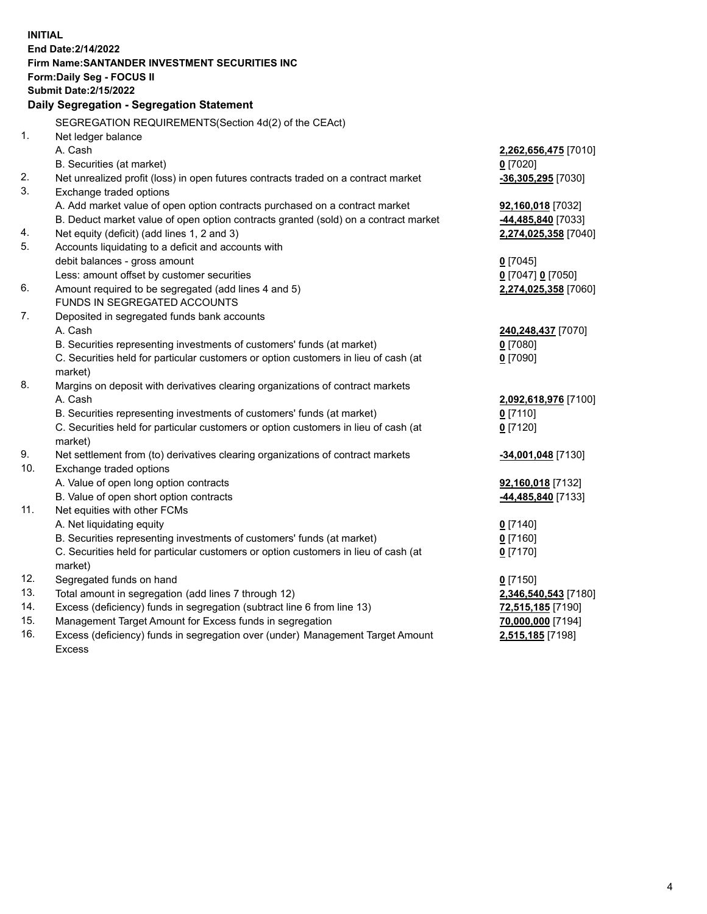| <b>INITIAL</b>      |                                                                                     |                      |  |  |  |
|---------------------|-------------------------------------------------------------------------------------|----------------------|--|--|--|
| End Date: 2/14/2022 |                                                                                     |                      |  |  |  |
|                     | Firm Name: SANTANDER INVESTMENT SECURITIES INC                                      |                      |  |  |  |
|                     | Form: Daily Seg - FOCUS II                                                          |                      |  |  |  |
|                     | <b>Submit Date: 2/15/2022</b>                                                       |                      |  |  |  |
|                     | Daily Segregation - Segregation Statement                                           |                      |  |  |  |
|                     | SEGREGATION REQUIREMENTS(Section 4d(2) of the CEAct)                                |                      |  |  |  |
| 1.                  | Net ledger balance                                                                  |                      |  |  |  |
|                     | A. Cash                                                                             | 2,262,656,475 [7010] |  |  |  |
|                     | B. Securities (at market)                                                           | $0$ [7020]           |  |  |  |
| 2.                  | Net unrealized profit (loss) in open futures contracts traded on a contract market  | $-36,305,295$ [7030] |  |  |  |
| 3.                  | Exchange traded options                                                             |                      |  |  |  |
|                     | A. Add market value of open option contracts purchased on a contract market         | 92,160,018 [7032]    |  |  |  |
|                     | B. Deduct market value of open option contracts granted (sold) on a contract market | 44,485,840 [7033]    |  |  |  |
| 4.                  | Net equity (deficit) (add lines 1, 2 and 3)                                         | 2,274,025,358 [7040] |  |  |  |
| 5.                  | Accounts liquidating to a deficit and accounts with                                 |                      |  |  |  |
|                     | debit balances - gross amount                                                       | $0$ [7045]           |  |  |  |
|                     | Less: amount offset by customer securities                                          | 0 [7047] 0 [7050]    |  |  |  |
| 6.                  | Amount required to be segregated (add lines 4 and 5)                                | 2,274,025,358 [7060] |  |  |  |
|                     | FUNDS IN SEGREGATED ACCOUNTS                                                        |                      |  |  |  |
| 7.                  | Deposited in segregated funds bank accounts                                         |                      |  |  |  |
|                     | A. Cash                                                                             | 240,248,437 [7070]   |  |  |  |
|                     | B. Securities representing investments of customers' funds (at market)              | $0$ [7080]           |  |  |  |
|                     | C. Securities held for particular customers or option customers in lieu of cash (at | $0$ [7090]           |  |  |  |
|                     | market)                                                                             |                      |  |  |  |
| 8.                  | Margins on deposit with derivatives clearing organizations of contract markets      |                      |  |  |  |
|                     | A. Cash                                                                             | 2,092,618,976 [7100] |  |  |  |
|                     | B. Securities representing investments of customers' funds (at market)              | $0$ [7110]           |  |  |  |
|                     | C. Securities held for particular customers or option customers in lieu of cash (at | $0$ [7120]           |  |  |  |
|                     | market)                                                                             |                      |  |  |  |
| 9.                  | Net settlement from (to) derivatives clearing organizations of contract markets     | -34,001,048 [7130]   |  |  |  |
| 10.                 | Exchange traded options                                                             |                      |  |  |  |
|                     | A. Value of open long option contracts                                              | 92,160,018 [7132]    |  |  |  |
|                     | B. Value of open short option contracts                                             | 44,485,840 [7133]    |  |  |  |
| 11.                 | Net equities with other FCMs                                                        |                      |  |  |  |
|                     | A. Net liquidating equity                                                           | $0$ [7140]           |  |  |  |
|                     | B. Securities representing investments of customers' funds (at market)              | $0$ [7160]           |  |  |  |
|                     | C. Securities held for particular customers or option customers in lieu of cash (at | $0$ [7170]           |  |  |  |
|                     | market)                                                                             |                      |  |  |  |
| 12.                 | Segregated funds on hand                                                            | $0$ [7150]           |  |  |  |
| 13.                 | Total amount in segregation (add lines 7 through 12)                                | 2,346,540,543 [7180] |  |  |  |
| 14.                 | Excess (deficiency) funds in segregation (subtract line 6 from line 13)             | 72,515,185 [7190]    |  |  |  |
| 15.                 | Management Target Amount for Excess funds in segregation                            | 70,000,000 [7194]    |  |  |  |
| 16.                 | Excess (deficiency) funds in segregation over (under) Management Target Amount      | 2,515,185 [7198]     |  |  |  |
|                     | <b>Excess</b>                                                                       |                      |  |  |  |